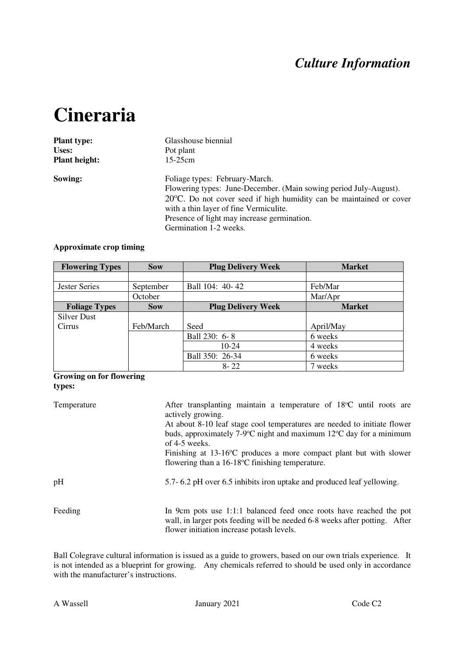## *Culture Information*

# **Cineraria**

| <b>Plant type:</b>   | Glasshouse biennial                                                                                                                                                                                                                                                                                     |  |  |  |  |
|----------------------|---------------------------------------------------------------------------------------------------------------------------------------------------------------------------------------------------------------------------------------------------------------------------------------------------------|--|--|--|--|
| Uses:                | Pot plant<br>$15-25$ cm                                                                                                                                                                                                                                                                                 |  |  |  |  |
| <b>Plant height:</b> |                                                                                                                                                                                                                                                                                                         |  |  |  |  |
| Sowing:              | Foliage types: February-March.<br>Flowering types: June-December. (Main sowing period July-August).<br>$20^{\circ}$ C. Do not cover seed if high humidity can be maintained or cover<br>with a thin layer of fine Vermiculite.<br>Presence of light may increase germination.<br>Germination 1-2 weeks. |  |  |  |  |

### **Approximate crop timing**

| <b>Flowering Types</b> | <b>Sow</b> | <b>Plug Delivery Week</b> | <b>Market</b> |
|------------------------|------------|---------------------------|---------------|
|                        |            |                           |               |
| Jester Series          | September  | Ball 104: 40-42           | Feb/Mar       |
|                        | October    |                           | Mar/Apr       |
| <b>Foliage Types</b>   | <b>Sow</b> | <b>Plug Delivery Week</b> | <b>Market</b> |
| Silver Dust            |            |                           |               |
| <b>Cirrus</b>          | Feb/March  | Seed                      | April/May     |
|                        |            | Ball 230: 6-8             | 6 weeks       |
|                        |            | $10-24$                   | 4 weeks       |
|                        |            | Ball 350: 26-34           | 6 weeks       |
|                        |            | $8 - 22$                  | 7 weeks       |

#### **Growing on for flowering types:**

| Temperature | After transplanting maintain a temperature of $18^{\circ}$ C until roots are<br>actively growing.<br>At about 8-10 leaf stage cool temperatures are needed to initiate flower<br>buds, approximately 7-9 $\degree$ C night and maximum 12 $\degree$ C day for a minimum<br>of $4-5$ weeks.<br>Finishing at $13{\text -}16^{\circ}\text{C}$ produces a more compact plant but with slower<br>flowering than a $16-18$ °C finishing temperature. |  |  |  |  |  |
|-------------|------------------------------------------------------------------------------------------------------------------------------------------------------------------------------------------------------------------------------------------------------------------------------------------------------------------------------------------------------------------------------------------------------------------------------------------------|--|--|--|--|--|
| pH          | 5.7-6.2 pH over 6.5 inhibits iron uptake and produced leaf yellowing.                                                                                                                                                                                                                                                                                                                                                                          |  |  |  |  |  |
| Feeding     | In 9cm pots use 1:1:1 balanced feed once roots have reached the pot<br>wall, in larger pots feeding will be needed 6-8 weeks after potting. After<br>flower initiation increase potash levels.                                                                                                                                                                                                                                                 |  |  |  |  |  |

Ball Colegrave cultural information is issued as a guide to growers, based on our own trials experience. It is not intended as a blueprint for growing. Any chemicals referred to should be used only in accordance with the manufacturer's instructions.